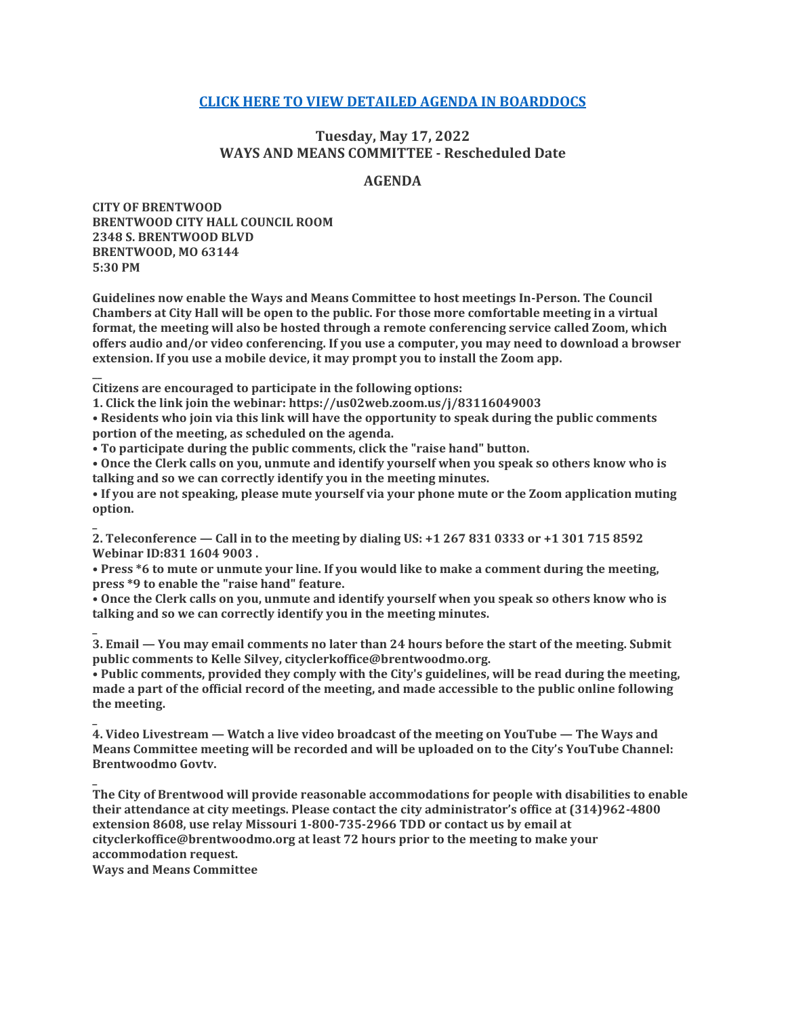# **[CLICK HERE TO VIEW DETAILED AGENDA IN BOARDDOCS](http://go.boarddocs.com/mo/cob/Board.nsf/goto?open&id=CC4M4B58BFEC)**

# **Tuesday, May 17, 2022 WAYS AND MEANS COMMITTEE - Rescheduled Date**

## **AGENDA**

**CITY OF BRENTWOOD BRENTWOOD CITY HALL COUNCIL ROOM 2348 S. BRENTWOOD BLVD BRENTWOOD, MO 63144 5:30 PM**

**\_**

**\_**

**\_**

**\_**

**Guidelines now enable the Ways and Means Committee to host meetings In-Person. The Council Chambers at City Hall will be open to the public. For those more comfortable meeting in a virtual format, the meeting will also be hosted through a remote conferencing service called Zoom, which offers audio and/or video conferencing. If you use a computer, you may need to download a browser extension. If you use a mobile device, it may prompt you to install the Zoom app.**

**\_\_ Citizens are encouraged to participate in the following options:**

**1. Click the link join the webinar: https://us02web.zoom.us/j/83116049003**

**• Residents who join via this link will have the opportunity to speak during the public comments portion of the meeting, as scheduled on the agenda.**

**• To participate during the public comments, click the "raise hand" button.**

**• Once the Clerk calls on you, unmute and identify yourself when you speak so others know who is talking and so we can correctly identify you in the meeting minutes.**

**• If you are not speaking, please mute yourself via your phone mute or the Zoom application muting option.**

**2. Teleconference — Call in to the meeting by dialing US: +1 267 831 0333 or +1 301 715 8592 Webinar ID:831 1604 9003 .**

**• Press \*6 to mute or unmute your line. If you would like to make a comment during the meeting, press \*9 to enable the "raise hand" feature.**

**• Once the Clerk calls on you, unmute and identify yourself when you speak so others know who is talking and so we can correctly identify you in the meeting minutes.**

**3. Email — You may email comments no later than 24 hours before the start of the meeting. Submit public comments to Kelle Silvey, cityclerkoffice@brentwoodmo.org.**

**• Public comments, provided they comply with the City's guidelines, will be read during the meeting, made a part of the official record of the meeting, and made accessible to the public online following the meeting.**

**4. Video Livestream — Watch a live video broadcast of the meeting on YouTube — The Ways and Means Committee meeting will be recorded and will be uploaded on to the City's YouTube Channel: Brentwoodmo Govtv.**

**The City of Brentwood will provide reasonable accommodations for people with disabilities to enable their attendance at city meetings. Please contact the city administrator's office at (314)962-4800 extension 8608, use relay Missouri 1-800-735-2966 TDD or contact us by email at cityclerkoffice@brentwoodmo.org at least 72 hours prior to the meeting to make your accommodation request. Ways and Means Committee**